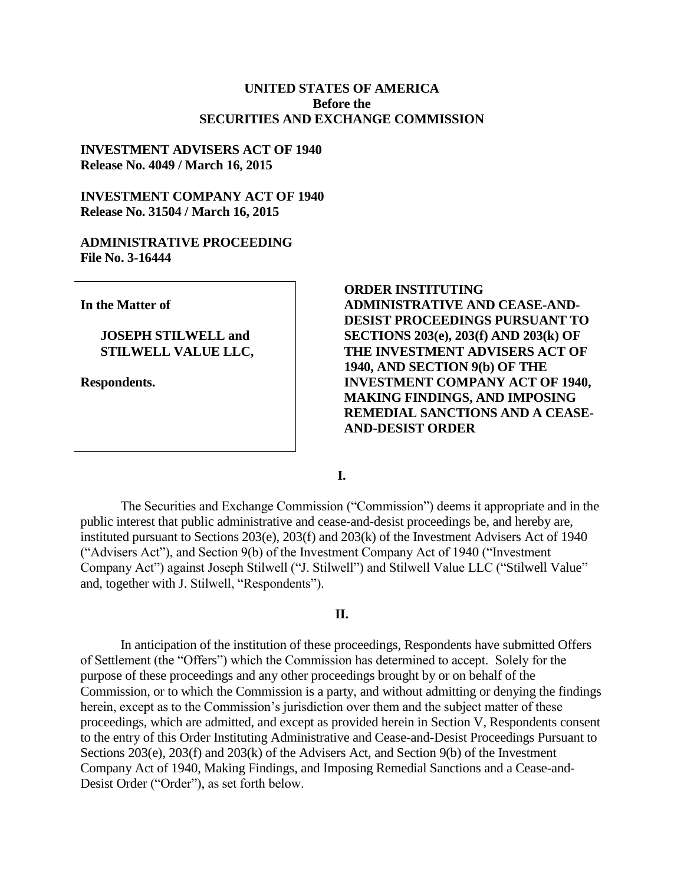### **UNITED STATES OF AMERICA Before the SECURITIES AND EXCHANGE COMMISSION**

### **INVESTMENT ADVISERS ACT OF 1940 Release No. 4049 / March 16, 2015**

### **INVESTMENT COMPANY ACT OF 1940 Release No. 31504 / March 16, 2015**

#### **ADMINISTRATIVE PROCEEDING File No. 3-16444**

**In the Matter of**

### **JOSEPH STILWELL and STILWELL VALUE LLC,**

**Respondents.**

**ORDER INSTITUTING ADMINISTRATIVE AND CEASE-AND-DESIST PROCEEDINGS PURSUANT TO SECTIONS 203(e), 203(f) AND 203(k) OF THE INVESTMENT ADVISERS ACT OF 1940, AND SECTION 9(b) OF THE INVESTMENT COMPANY ACT OF 1940, MAKING FINDINGS, AND IMPOSING REMEDIAL SANCTIONS AND A CEASE-AND-DESIST ORDER**

**I.**

The Securities and Exchange Commission ("Commission") deems it appropriate and in the public interest that public administrative and cease-and-desist proceedings be, and hereby are, instituted pursuant to Sections 203(e), 203(f) and 203(k) of the Investment Advisers Act of 1940 ("Advisers Act"), and Section 9(b) of the Investment Company Act of 1940 ("Investment Company Act") against Joseph Stilwell ("J. Stilwell") and Stilwell Value LLC ("Stilwell Value" and, together with J. Stilwell, "Respondents").

#### **II.**

In anticipation of the institution of these proceedings, Respondents have submitted Offers of Settlement (the "Offers") which the Commission has determined to accept. Solely for the purpose of these proceedings and any other proceedings brought by or on behalf of the Commission, or to which the Commission is a party, and without admitting or denying the findings herein, except as to the Commission's jurisdiction over them and the subject matter of these proceedings, which are admitted, and except as provided herein in Section V, Respondents consent to the entry of this Order Instituting Administrative and Cease-and-Desist Proceedings Pursuant to Sections 203(e), 203(f) and 203(k) of the Advisers Act, and Section 9(b) of the Investment Company Act of 1940, Making Findings, and Imposing Remedial Sanctions and a Cease-and-Desist Order ("Order"), as set forth below.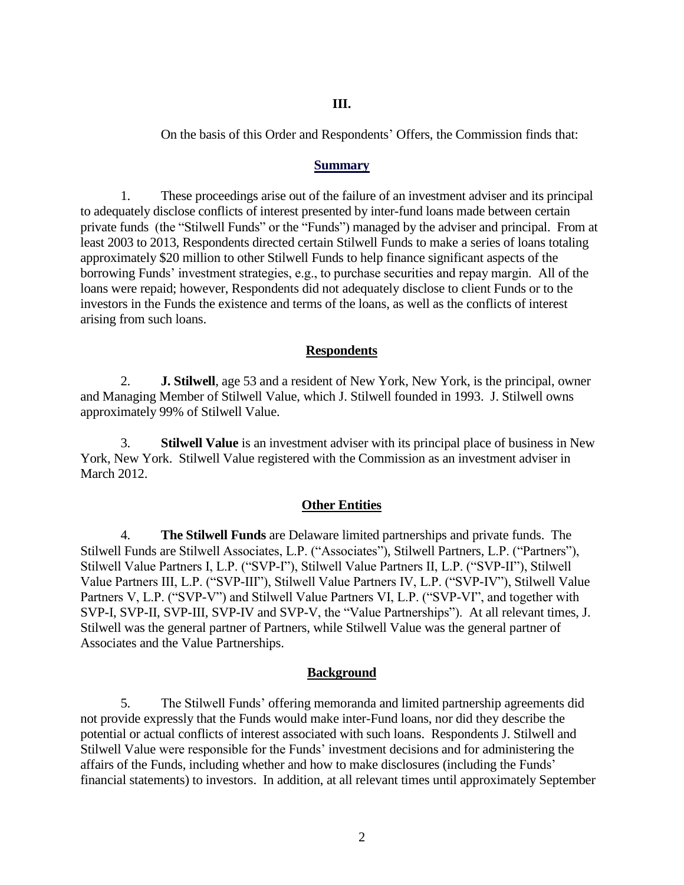#### **III.**

On the basis of this Order and Respondents' Offers, the Commission finds that:

#### **Summary**

1. These proceedings arise out of the failure of an investment adviser and its principal to adequately disclose conflicts of interest presented by inter-fund loans made between certain private funds (the "Stilwell Funds" or the "Funds") managed by the adviser and principal. From at least 2003 to 2013, Respondents directed certain Stilwell Funds to make a series of loans totaling approximately \$20 million to other Stilwell Funds to help finance significant aspects of the borrowing Funds' investment strategies, e.g., to purchase securities and repay margin. All of the loans were repaid; however, Respondents did not adequately disclose to client Funds or to the investors in the Funds the existence and terms of the loans, as well as the conflicts of interest arising from such loans.

### **Respondents**

2. **J. Stilwell**, age 53 and a resident of New York, New York, is the principal, owner and Managing Member of Stilwell Value, which J. Stilwell founded in 1993. J. Stilwell owns approximately 99% of Stilwell Value.

3. **Stilwell Value** is an investment adviser with its principal place of business in New York, New York. Stilwell Value registered with the Commission as an investment adviser in March 2012.

#### **Other Entities**

4. **The Stilwell Funds** are Delaware limited partnerships and private funds. The Stilwell Funds are Stilwell Associates, L.P. ("Associates"), Stilwell Partners, L.P. ("Partners"), Stilwell Value Partners I, L.P. ("SVP-I"), Stilwell Value Partners II, L.P. ("SVP-II"), Stilwell Value Partners III, L.P. ("SVP-III"), Stilwell Value Partners IV, L.P. ("SVP-IV"), Stilwell Value Partners V, L.P. ("SVP-V") and Stilwell Value Partners VI, L.P. ("SVP-VI", and together with SVP-I, SVP-II, SVP-III, SVP-IV and SVP-V, the "Value Partnerships"). At all relevant times, J. Stilwell was the general partner of Partners, while Stilwell Value was the general partner of Associates and the Value Partnerships.

#### **Background**

5. The Stilwell Funds' offering memoranda and limited partnership agreements did not provide expressly that the Funds would make inter-Fund loans, nor did they describe the potential or actual conflicts of interest associated with such loans. Respondents J. Stilwell and Stilwell Value were responsible for the Funds' investment decisions and for administering the affairs of the Funds, including whether and how to make disclosures (including the Funds' financial statements) to investors. In addition, at all relevant times until approximately September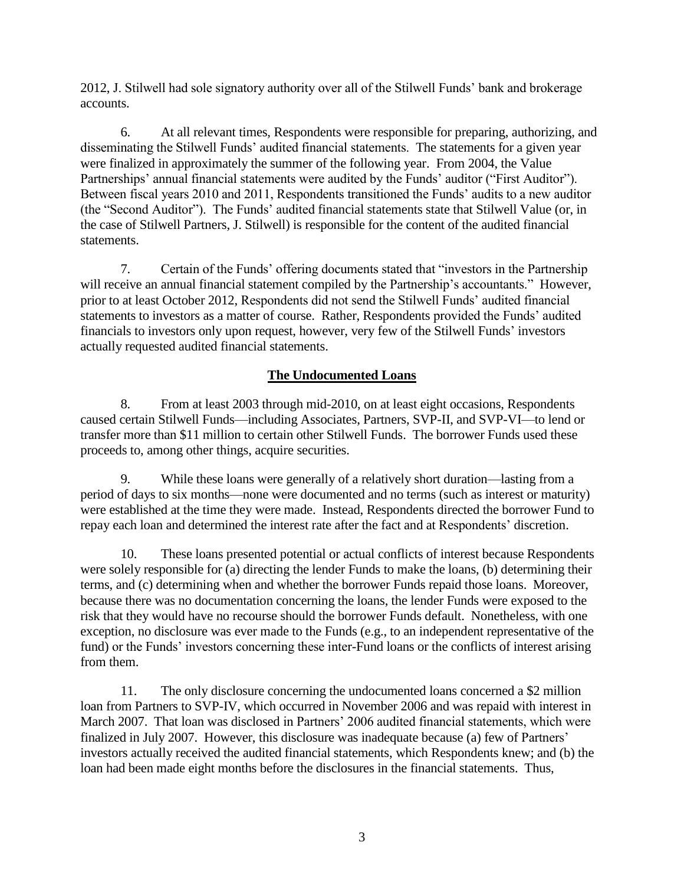2012, J. Stilwell had sole signatory authority over all of the Stilwell Funds' bank and brokerage accounts.

6. At all relevant times, Respondents were responsible for preparing, authorizing, and disseminating the Stilwell Funds' audited financial statements. The statements for a given year were finalized in approximately the summer of the following year. From 2004, the Value Partnerships' annual financial statements were audited by the Funds' auditor ("First Auditor"). Between fiscal years 2010 and 2011, Respondents transitioned the Funds' audits to a new auditor (the "Second Auditor"). The Funds' audited financial statements state that Stilwell Value (or, in the case of Stilwell Partners, J. Stilwell) is responsible for the content of the audited financial statements.

7. Certain of the Funds' offering documents stated that "investors in the Partnership will receive an annual financial statement compiled by the Partnership's accountants." However, prior to at least October 2012, Respondents did not send the Stilwell Funds' audited financial statements to investors as a matter of course. Rather, Respondents provided the Funds' audited financials to investors only upon request, however, very few of the Stilwell Funds' investors actually requested audited financial statements.

# **The Undocumented Loans**

8. From at least 2003 through mid-2010, on at least eight occasions, Respondents caused certain Stilwell Funds—including Associates, Partners, SVP-II, and SVP-VI—to lend or transfer more than \$11 million to certain other Stilwell Funds. The borrower Funds used these proceeds to, among other things, acquire securities.

9. While these loans were generally of a relatively short duration—lasting from a period of days to six months—none were documented and no terms (such as interest or maturity) were established at the time they were made. Instead, Respondents directed the borrower Fund to repay each loan and determined the interest rate after the fact and at Respondents' discretion.

10. These loans presented potential or actual conflicts of interest because Respondents were solely responsible for (a) directing the lender Funds to make the loans, (b) determining their terms, and (c) determining when and whether the borrower Funds repaid those loans. Moreover, because there was no documentation concerning the loans, the lender Funds were exposed to the risk that they would have no recourse should the borrower Funds default. Nonetheless, with one exception, no disclosure was ever made to the Funds (e.g., to an independent representative of the fund) or the Funds' investors concerning these inter-Fund loans or the conflicts of interest arising from them.

11. The only disclosure concerning the undocumented loans concerned a \$2 million loan from Partners to SVP-IV, which occurred in November 2006 and was repaid with interest in March 2007. That loan was disclosed in Partners' 2006 audited financial statements, which were finalized in July 2007. However, this disclosure was inadequate because (a) few of Partners' investors actually received the audited financial statements, which Respondents knew; and (b) the loan had been made eight months before the disclosures in the financial statements. Thus,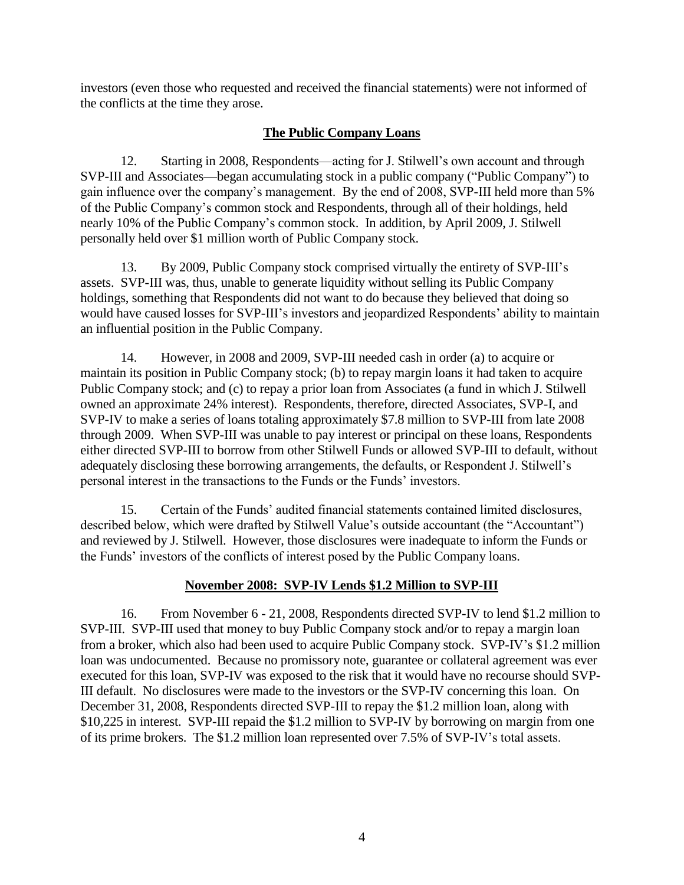investors (even those who requested and received the financial statements) were not informed of the conflicts at the time they arose.

# **The Public Company Loans**

12. Starting in 2008, Respondents—acting for J. Stilwell's own account and through SVP-III and Associates—began accumulating stock in a public company ("Public Company") to gain influence over the company's management. By the end of 2008, SVP-III held more than 5% of the Public Company's common stock and Respondents, through all of their holdings, held nearly 10% of the Public Company's common stock. In addition, by April 2009, J. Stilwell personally held over \$1 million worth of Public Company stock.

13. By 2009, Public Company stock comprised virtually the entirety of SVP-III's assets. SVP-III was, thus, unable to generate liquidity without selling its Public Company holdings, something that Respondents did not want to do because they believed that doing so would have caused losses for SVP-III's investors and jeopardized Respondents' ability to maintain an influential position in the Public Company.

14. However, in 2008 and 2009, SVP-III needed cash in order (a) to acquire or maintain its position in Public Company stock; (b) to repay margin loans it had taken to acquire Public Company stock; and (c) to repay a prior loan from Associates (a fund in which J. Stilwell owned an approximate 24% interest). Respondents, therefore, directed Associates, SVP-I, and SVP-IV to make a series of loans totaling approximately \$7.8 million to SVP-III from late 2008 through 2009. When SVP-III was unable to pay interest or principal on these loans, Respondents either directed SVP-III to borrow from other Stilwell Funds or allowed SVP-III to default, without adequately disclosing these borrowing arrangements, the defaults, or Respondent J. Stilwell's personal interest in the transactions to the Funds or the Funds' investors.

15. Certain of the Funds' audited financial statements contained limited disclosures, described below, which were drafted by Stilwell Value's outside accountant (the "Accountant") and reviewed by J. Stilwell. However, those disclosures were inadequate to inform the Funds or the Funds' investors of the conflicts of interest posed by the Public Company loans.

# **November 2008: SVP-IV Lends \$1.2 Million to SVP-III**

16. From November 6 - 21, 2008, Respondents directed SVP-IV to lend \$1.2 million to SVP-III. SVP-III used that money to buy Public Company stock and/or to repay a margin loan from a broker, which also had been used to acquire Public Company stock. SVP-IV's \$1.2 million loan was undocumented. Because no promissory note, guarantee or collateral agreement was ever executed for this loan, SVP-IV was exposed to the risk that it would have no recourse should SVP-III default. No disclosures were made to the investors or the SVP-IV concerning this loan. On December 31, 2008, Respondents directed SVP-III to repay the \$1.2 million loan, along with \$10,225 in interest. SVP-III repaid the \$1.2 million to SVP-IV by borrowing on margin from one of its prime brokers. The \$1.2 million loan represented over 7.5% of SVP-IV's total assets.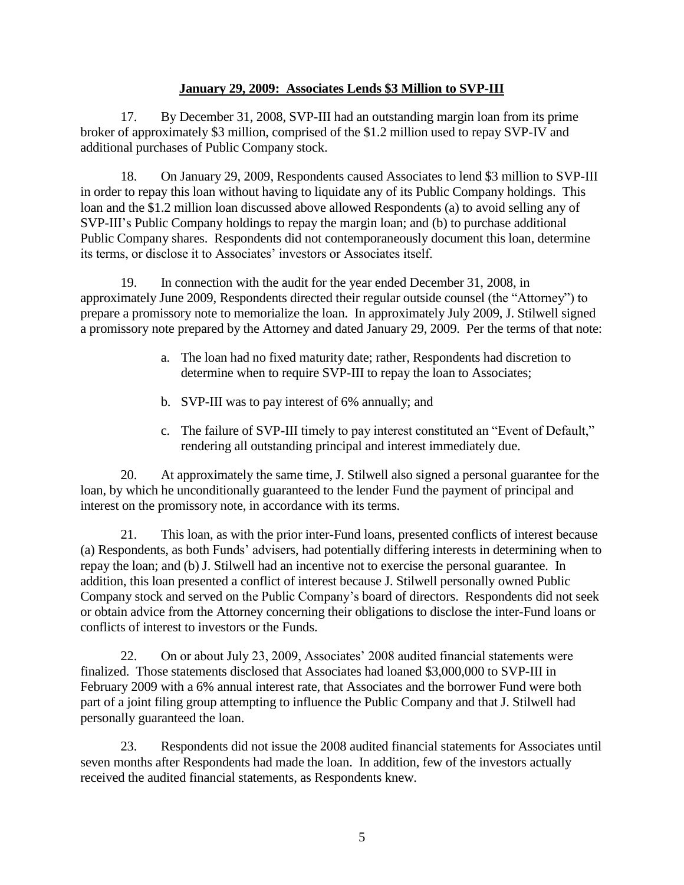## **January 29, 2009: Associates Lends \$3 Million to SVP-III**

17. By December 31, 2008, SVP-III had an outstanding margin loan from its prime broker of approximately \$3 million, comprised of the \$1.2 million used to repay SVP-IV and additional purchases of Public Company stock.

18. On January 29, 2009, Respondents caused Associates to lend \$3 million to SVP-III in order to repay this loan without having to liquidate any of its Public Company holdings. This loan and the \$1.2 million loan discussed above allowed Respondents (a) to avoid selling any of SVP-III's Public Company holdings to repay the margin loan; and (b) to purchase additional Public Company shares. Respondents did not contemporaneously document this loan, determine its terms, or disclose it to Associates' investors or Associates itself.

19. In connection with the audit for the year ended December 31, 2008, in approximately June 2009, Respondents directed their regular outside counsel (the "Attorney") to prepare a promissory note to memorialize the loan. In approximately July 2009, J. Stilwell signed a promissory note prepared by the Attorney and dated January 29, 2009. Per the terms of that note:

- a. The loan had no fixed maturity date; rather, Respondents had discretion to determine when to require SVP-III to repay the loan to Associates;
- b. SVP-III was to pay interest of 6% annually; and
- c. The failure of SVP-III timely to pay interest constituted an "Event of Default," rendering all outstanding principal and interest immediately due.

20. At approximately the same time, J. Stilwell also signed a personal guarantee for the loan, by which he unconditionally guaranteed to the lender Fund the payment of principal and interest on the promissory note, in accordance with its terms.

21. This loan, as with the prior inter-Fund loans, presented conflicts of interest because (a) Respondents, as both Funds' advisers, had potentially differing interests in determining when to repay the loan; and (b) J. Stilwell had an incentive not to exercise the personal guarantee. In addition, this loan presented a conflict of interest because J. Stilwell personally owned Public Company stock and served on the Public Company's board of directors. Respondents did not seek or obtain advice from the Attorney concerning their obligations to disclose the inter-Fund loans or conflicts of interest to investors or the Funds.

22. On or about July 23, 2009, Associates' 2008 audited financial statements were finalized. Those statements disclosed that Associates had loaned \$3,000,000 to SVP-III in February 2009 with a 6% annual interest rate, that Associates and the borrower Fund were both part of a joint filing group attempting to influence the Public Company and that J. Stilwell had personally guaranteed the loan.

23. Respondents did not issue the 2008 audited financial statements for Associates until seven months after Respondents had made the loan. In addition, few of the investors actually received the audited financial statements, as Respondents knew.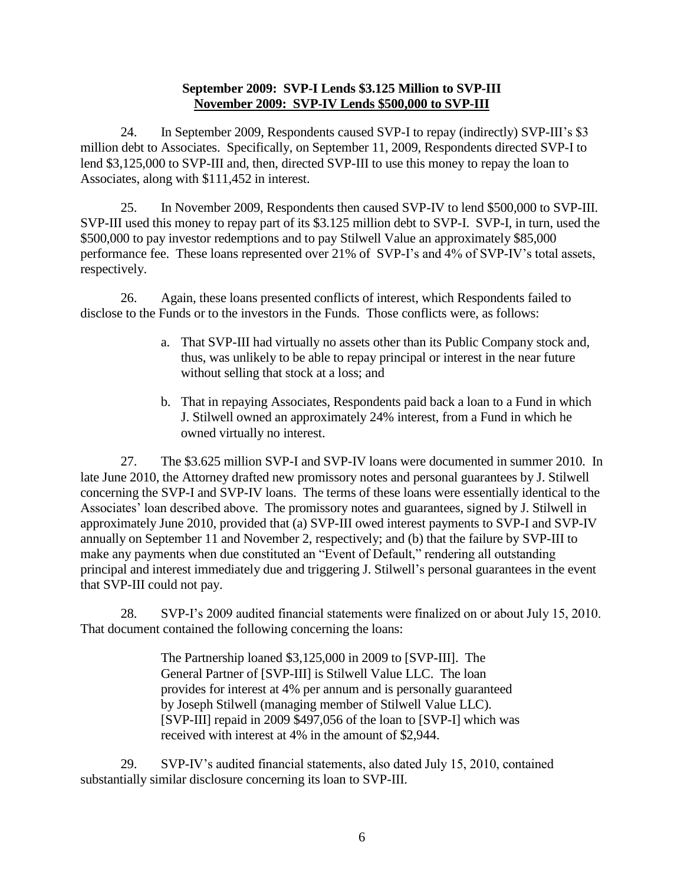### **September 2009: SVP-I Lends \$3.125 Million to SVP-III November 2009: SVP-IV Lends \$500,000 to SVP-III**

24. In September 2009, Respondents caused SVP-I to repay (indirectly) SVP-III's \$3 million debt to Associates. Specifically, on September 11, 2009, Respondents directed SVP-I to lend \$3,125,000 to SVP-III and, then, directed SVP-III to use this money to repay the loan to Associates, along with \$111,452 in interest.

25. In November 2009, Respondents then caused SVP-IV to lend \$500,000 to SVP-III. SVP-III used this money to repay part of its \$3.125 million debt to SVP-I. SVP-I, in turn, used the \$500,000 to pay investor redemptions and to pay Stilwell Value an approximately \$85,000 performance fee. These loans represented over 21% of SVP-I's and 4% of SVP-IV's total assets, respectively.

26. Again, these loans presented conflicts of interest, which Respondents failed to disclose to the Funds or to the investors in the Funds. Those conflicts were, as follows:

- a. That SVP-III had virtually no assets other than its Public Company stock and, thus, was unlikely to be able to repay principal or interest in the near future without selling that stock at a loss; and
- b. That in repaying Associates, Respondents paid back a loan to a Fund in which J. Stilwell owned an approximately 24% interest, from a Fund in which he owned virtually no interest.

27. The \$3.625 million SVP-I and SVP-IV loans were documented in summer 2010. In late June 2010, the Attorney drafted new promissory notes and personal guarantees by J. Stilwell concerning the SVP-I and SVP-IV loans. The terms of these loans were essentially identical to the Associates' loan described above. The promissory notes and guarantees, signed by J. Stilwell in approximately June 2010, provided that (a) SVP-III owed interest payments to SVP-I and SVP-IV annually on September 11 and November 2, respectively; and (b) that the failure by SVP-III to make any payments when due constituted an "Event of Default," rendering all outstanding principal and interest immediately due and triggering J. Stilwell's personal guarantees in the event that SVP-III could not pay.

28. SVP-I's 2009 audited financial statements were finalized on or about July 15, 2010. That document contained the following concerning the loans:

> The Partnership loaned \$3,125,000 in 2009 to [SVP-III]. The General Partner of [SVP-III] is Stilwell Value LLC. The loan provides for interest at 4% per annum and is personally guaranteed by Joseph Stilwell (managing member of Stilwell Value LLC). [SVP-III] repaid in 2009 \$497,056 of the loan to [SVP-I] which was received with interest at 4% in the amount of \$2,944.

29. SVP-IV's audited financial statements, also dated July 15, 2010, contained substantially similar disclosure concerning its loan to SVP-III.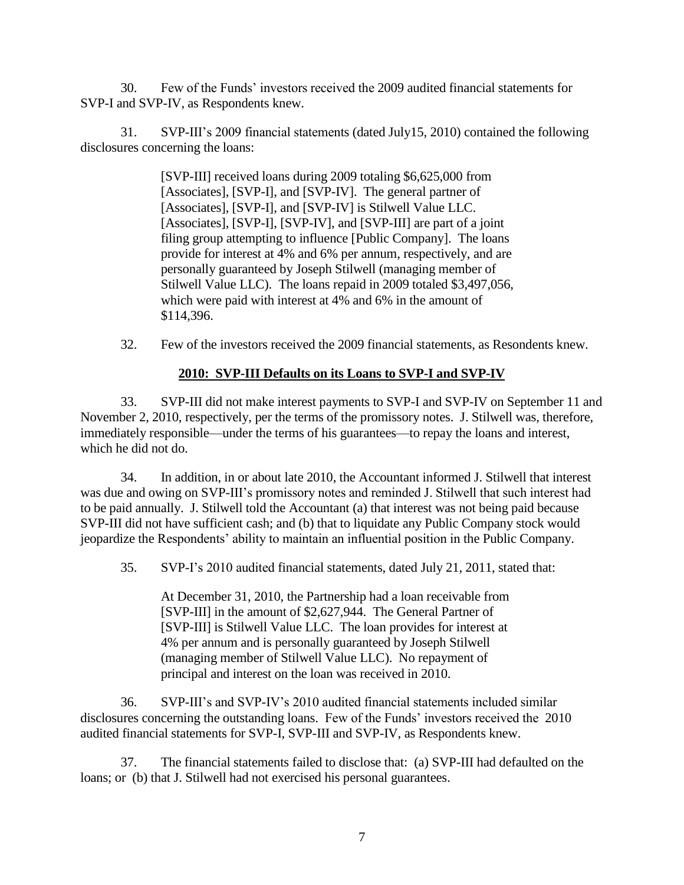30. Few of the Funds' investors received the 2009 audited financial statements for SVP-I and SVP-IV, as Respondents knew.

31. SVP-III's 2009 financial statements (dated July15, 2010) contained the following disclosures concerning the loans:

> [SVP-III] received loans during 2009 totaling \$6,625,000 from [Associates], [SVP-I], and [SVP-IV]. The general partner of [Associates], [SVP-I], and [SVP-IV] is Stilwell Value LLC. [Associates], [SVP-I], [SVP-IV], and [SVP-III] are part of a joint filing group attempting to influence [Public Company]. The loans provide for interest at 4% and 6% per annum, respectively, and are personally guaranteed by Joseph Stilwell (managing member of Stilwell Value LLC). The loans repaid in 2009 totaled \$3,497,056, which were paid with interest at 4% and 6% in the amount of \$114,396.

32. Few of the investors received the 2009 financial statements, as Resondents knew.

# **2010: SVP-III Defaults on its Loans to SVP-I and SVP-IV**

33. SVP-III did not make interest payments to SVP-I and SVP-IV on September 11 and November 2, 2010, respectively, per the terms of the promissory notes. J. Stilwell was, therefore, immediately responsible—under the terms of his guarantees—to repay the loans and interest, which he did not do.

34. In addition, in or about late 2010, the Accountant informed J. Stilwell that interest was due and owing on SVP-III's promissory notes and reminded J. Stilwell that such interest had to be paid annually. J. Stilwell told the Accountant (a) that interest was not being paid because SVP-III did not have sufficient cash; and (b) that to liquidate any Public Company stock would jeopardize the Respondents' ability to maintain an influential position in the Public Company.

35. SVP-I's 2010 audited financial statements, dated July 21, 2011, stated that:

At December 31, 2010, the Partnership had a loan receivable from [SVP-III] in the amount of \$2,627,944. The General Partner of [SVP-III] is Stilwell Value LLC. The loan provides for interest at 4% per annum and is personally guaranteed by Joseph Stilwell (managing member of Stilwell Value LLC). No repayment of principal and interest on the loan was received in 2010.

36. SVP-III's and SVP-IV's 2010 audited financial statements included similar disclosures concerning the outstanding loans. Few of the Funds' investors received the 2010 audited financial statements for SVP-I, SVP-III and SVP-IV, as Respondents knew.

37. The financial statements failed to disclose that: (a) SVP-III had defaulted on the loans; or (b) that J. Stilwell had not exercised his personal guarantees.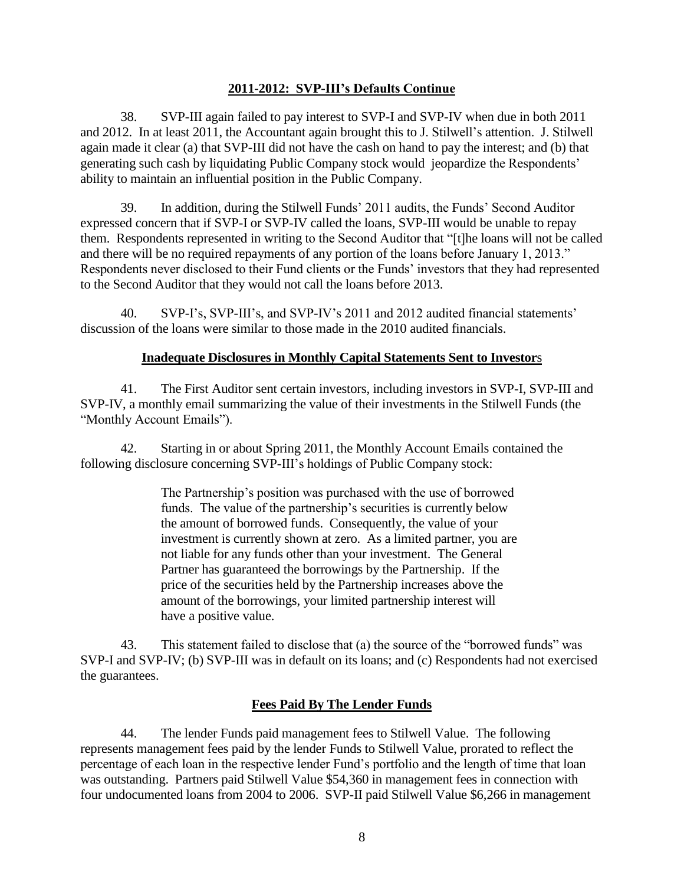### **2011-2012: SVP-III's Defaults Continue**

38. SVP-III again failed to pay interest to SVP-I and SVP-IV when due in both 2011 and 2012. In at least 2011, the Accountant again brought this to J. Stilwell's attention. J. Stilwell again made it clear (a) that SVP-III did not have the cash on hand to pay the interest; and (b) that generating such cash by liquidating Public Company stock would jeopardize the Respondents' ability to maintain an influential position in the Public Company.

39. In addition, during the Stilwell Funds' 2011 audits, the Funds' Second Auditor expressed concern that if SVP-I or SVP-IV called the loans, SVP-III would be unable to repay them. Respondents represented in writing to the Second Auditor that "[t]he loans will not be called and there will be no required repayments of any portion of the loans before January 1, 2013." Respondents never disclosed to their Fund clients or the Funds' investors that they had represented to the Second Auditor that they would not call the loans before 2013.

40. SVP-I's, SVP-III's, and SVP-IV's 2011 and 2012 audited financial statements' discussion of the loans were similar to those made in the 2010 audited financials.

# **Inadequate Disclosures in Monthly Capital Statements Sent to Investor**s

41. The First Auditor sent certain investors, including investors in SVP-I, SVP-III and SVP-IV, a monthly email summarizing the value of their investments in the Stilwell Funds (the "Monthly Account Emails").

42. Starting in or about Spring 2011, the Monthly Account Emails contained the following disclosure concerning SVP-III's holdings of Public Company stock:

> The Partnership's position was purchased with the use of borrowed funds. The value of the partnership's securities is currently below the amount of borrowed funds. Consequently, the value of your investment is currently shown at zero. As a limited partner, you are not liable for any funds other than your investment. The General Partner has guaranteed the borrowings by the Partnership. If the price of the securities held by the Partnership increases above the amount of the borrowings, your limited partnership interest will have a positive value.

43. This statement failed to disclose that (a) the source of the "borrowed funds" was SVP-I and SVP-IV; (b) SVP-III was in default on its loans; and (c) Respondents had not exercised the guarantees.

# **Fees Paid By The Lender Funds**

44. The lender Funds paid management fees to Stilwell Value. The following represents management fees paid by the lender Funds to Stilwell Value, prorated to reflect the percentage of each loan in the respective lender Fund's portfolio and the length of time that loan was outstanding. Partners paid Stilwell Value \$54,360 in management fees in connection with four undocumented loans from 2004 to 2006. SVP-II paid Stilwell Value \$6,266 in management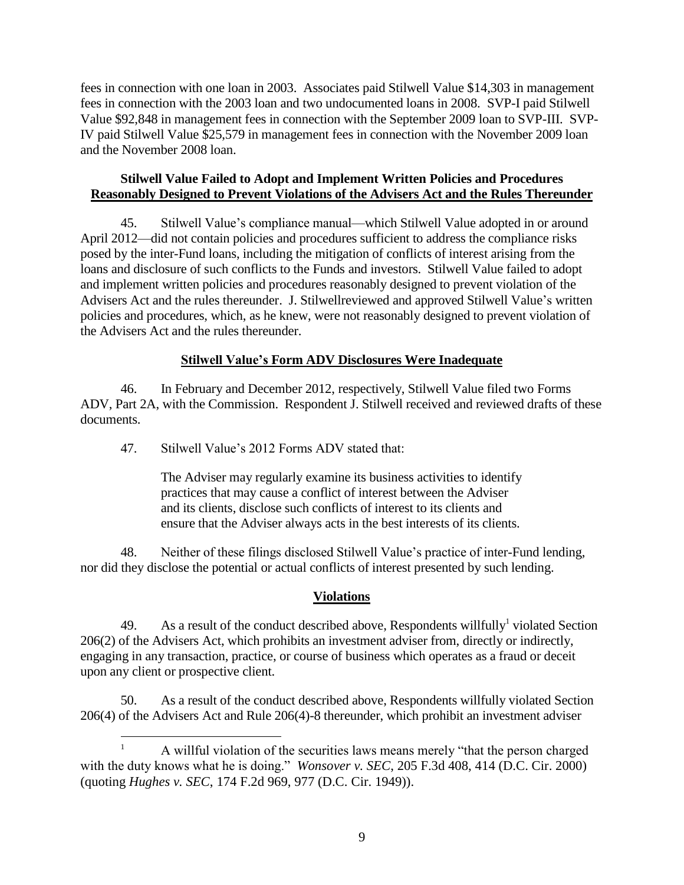fees in connection with one loan in 2003. Associates paid Stilwell Value \$14,303 in management fees in connection with the 2003 loan and two undocumented loans in 2008. SVP-I paid Stilwell Value \$92,848 in management fees in connection with the September 2009 loan to SVP-III. SVP-IV paid Stilwell Value \$25,579 in management fees in connection with the November 2009 loan and the November 2008 loan.

# **Stilwell Value Failed to Adopt and Implement Written Policies and Procedures Reasonably Designed to Prevent Violations of the Advisers Act and the Rules Thereunder**

45. Stilwell Value's compliance manual—which Stilwell Value adopted in or around April 2012—did not contain policies and procedures sufficient to address the compliance risks posed by the inter-Fund loans, including the mitigation of conflicts of interest arising from the loans and disclosure of such conflicts to the Funds and investors. Stilwell Value failed to adopt and implement written policies and procedures reasonably designed to prevent violation of the Advisers Act and the rules thereunder. J. Stilwellreviewed and approved Stilwell Value's written policies and procedures, which, as he knew, were not reasonably designed to prevent violation of the Advisers Act and the rules thereunder.

# **Stilwell Value's Form ADV Disclosures Were Inadequate**

46. In February and December 2012, respectively, Stilwell Value filed two Forms ADV, Part 2A, with the Commission. Respondent J. Stilwell received and reviewed drafts of these documents.

47. Stilwell Value's 2012 Forms ADV stated that:

 $\overline{a}$ 

The Adviser may regularly examine its business activities to identify practices that may cause a conflict of interest between the Adviser and its clients, disclose such conflicts of interest to its clients and ensure that the Adviser always acts in the best interests of its clients.

48. Neither of these filings disclosed Stilwell Value's practice of inter-Fund lending, nor did they disclose the potential or actual conflicts of interest presented by such lending.

# **Violations**

49. As a result of the conduct described above, Respondents will fully violated Section 206(2) of the Advisers Act, which prohibits an investment adviser from, directly or indirectly, engaging in any transaction, practice, or course of business which operates as a fraud or deceit upon any client or prospective client.

50. As a result of the conduct described above, Respondents willfully violated Section 206(4) of the Advisers Act and Rule 206(4)-8 thereunder, which prohibit an investment adviser

<sup>1</sup> A willful violation of the securities laws means merely "that the person charged with the duty knows what he is doing." *Wonsover v. SEC*, 205 F.3d 408, 414 (D.C. Cir. 2000) (quoting *Hughes v. SEC*, 174 F.2d 969, 977 (D.C. Cir. 1949)).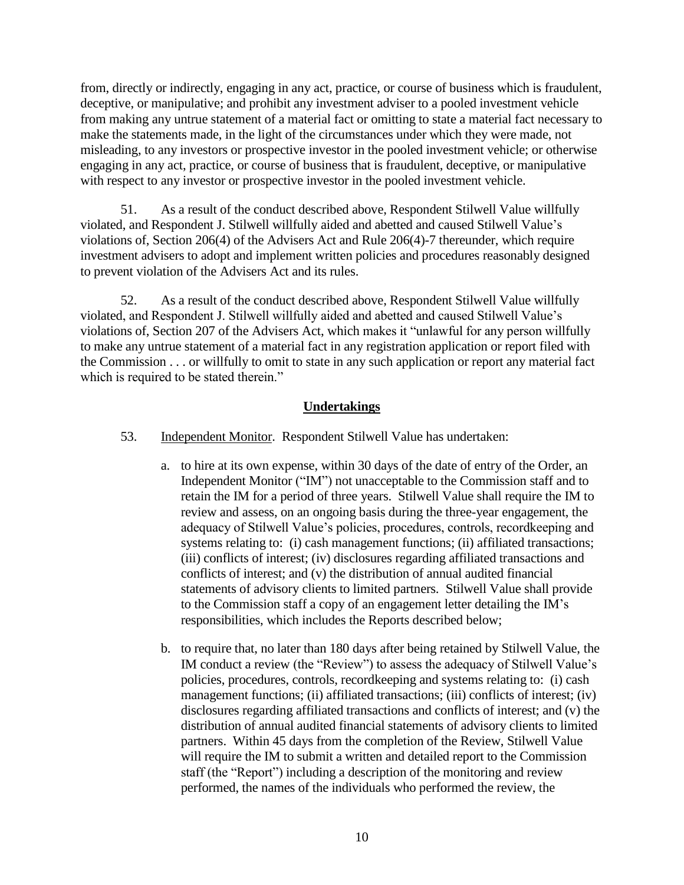from, directly or indirectly, engaging in any act, practice, or course of business which is fraudulent, deceptive, or manipulative; and prohibit any investment adviser to a pooled investment vehicle from making any untrue statement of a material fact or omitting to state a material fact necessary to make the statements made, in the light of the circumstances under which they were made, not misleading, to any investors or prospective investor in the pooled investment vehicle; or otherwise engaging in any act, practice, or course of business that is fraudulent, deceptive, or manipulative with respect to any investor or prospective investor in the pooled investment vehicle.

51. As a result of the conduct described above, Respondent Stilwell Value willfully violated, and Respondent J. Stilwell willfully aided and abetted and caused Stilwell Value's violations of, Section 206(4) of the Advisers Act and Rule 206(4)-7 thereunder, which require investment advisers to adopt and implement written policies and procedures reasonably designed to prevent violation of the Advisers Act and its rules.

52. As a result of the conduct described above, Respondent Stilwell Value willfully violated, and Respondent J. Stilwell willfully aided and abetted and caused Stilwell Value's violations of, Section 207 of the Advisers Act, which makes it "unlawful for any person willfully to make any untrue statement of a material fact in any registration application or report filed with the Commission . . . or willfully to omit to state in any such application or report any material fact which is required to be stated therein."

# **Undertakings**

- 53. Independent Monitor. Respondent Stilwell Value has undertaken:
	- a. to hire at its own expense, within 30 days of the date of entry of the Order, an Independent Monitor ("IM") not unacceptable to the Commission staff and to retain the IM for a period of three years. Stilwell Value shall require the IM to review and assess, on an ongoing basis during the three-year engagement, the adequacy of Stilwell Value's policies, procedures, controls, recordkeeping and systems relating to: (i) cash management functions; (ii) affiliated transactions; (iii) conflicts of interest; (iv) disclosures regarding affiliated transactions and conflicts of interest; and (v) the distribution of annual audited financial statements of advisory clients to limited partners. Stilwell Value shall provide to the Commission staff a copy of an engagement letter detailing the IM's responsibilities, which includes the Reports described below;
	- b. to require that, no later than 180 days after being retained by Stilwell Value, the IM conduct a review (the "Review") to assess the adequacy of Stilwell Value's policies, procedures, controls, recordkeeping and systems relating to: (i) cash management functions; (ii) affiliated transactions; (iii) conflicts of interest; (iv) disclosures regarding affiliated transactions and conflicts of interest; and (v) the distribution of annual audited financial statements of advisory clients to limited partners. Within 45 days from the completion of the Review, Stilwell Value will require the IM to submit a written and detailed report to the Commission staff (the "Report") including a description of the monitoring and review performed, the names of the individuals who performed the review, the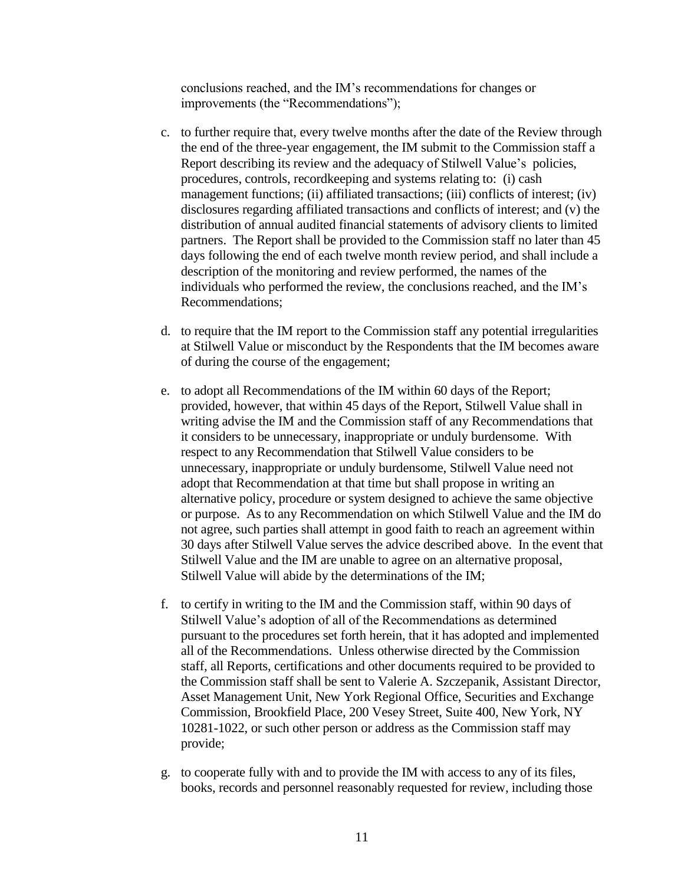conclusions reached, and the IM's recommendations for changes or improvements (the "Recommendations");

- c. to further require that, every twelve months after the date of the Review through the end of the three-year engagement, the IM submit to the Commission staff a Report describing its review and the adequacy of Stilwell Value's policies, procedures, controls, recordkeeping and systems relating to: (i) cash management functions; (ii) affiliated transactions; (iii) conflicts of interest; (iv) disclosures regarding affiliated transactions and conflicts of interest; and (v) the distribution of annual audited financial statements of advisory clients to limited partners. The Report shall be provided to the Commission staff no later than 45 days following the end of each twelve month review period, and shall include a description of the monitoring and review performed, the names of the individuals who performed the review, the conclusions reached, and the IM's Recommendations;
- d. to require that the IM report to the Commission staff any potential irregularities at Stilwell Value or misconduct by the Respondents that the IM becomes aware of during the course of the engagement;
- e. to adopt all Recommendations of the IM within 60 days of the Report; provided, however, that within 45 days of the Report, Stilwell Value shall in writing advise the IM and the Commission staff of any Recommendations that it considers to be unnecessary, inappropriate or unduly burdensome. With respect to any Recommendation that Stilwell Value considers to be unnecessary, inappropriate or unduly burdensome, Stilwell Value need not adopt that Recommendation at that time but shall propose in writing an alternative policy, procedure or system designed to achieve the same objective or purpose. As to any Recommendation on which Stilwell Value and the IM do not agree, such parties shall attempt in good faith to reach an agreement within 30 days after Stilwell Value serves the advice described above. In the event that Stilwell Value and the IM are unable to agree on an alternative proposal, Stilwell Value will abide by the determinations of the IM;
- f. to certify in writing to the IM and the Commission staff, within 90 days of Stilwell Value's adoption of all of the Recommendations as determined pursuant to the procedures set forth herein, that it has adopted and implemented all of the Recommendations. Unless otherwise directed by the Commission staff, all Reports, certifications and other documents required to be provided to the Commission staff shall be sent to Valerie A. Szczepanik, Assistant Director, Asset Management Unit, New York Regional Office, Securities and Exchange Commission, Brookfield Place, 200 Vesey Street, Suite 400, New York, NY 10281-1022, or such other person or address as the Commission staff may provide;
- g. to cooperate fully with and to provide the IM with access to any of its files, books, records and personnel reasonably requested for review, including those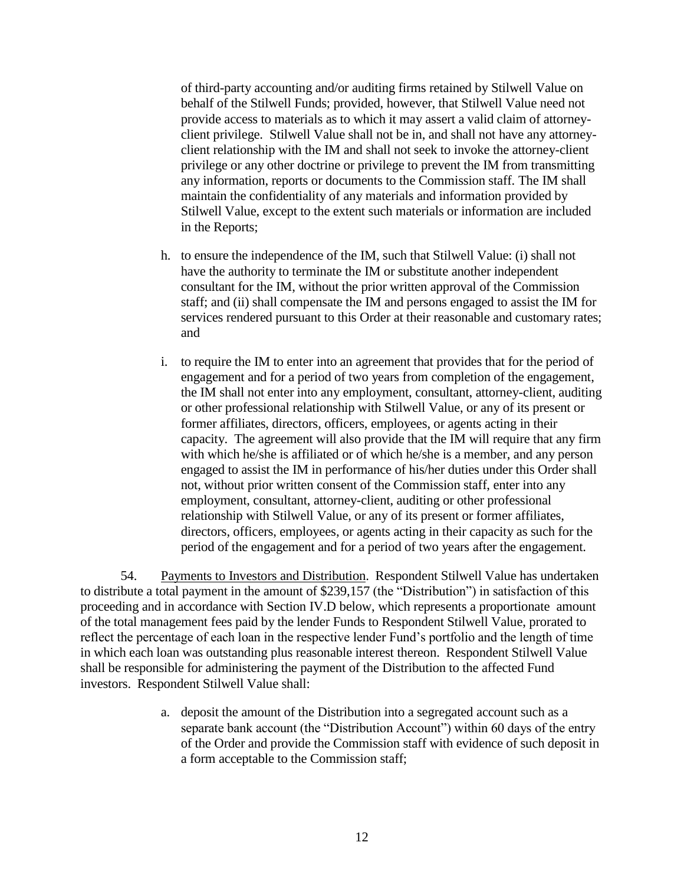of third-party accounting and/or auditing firms retained by Stilwell Value on behalf of the Stilwell Funds; provided, however, that Stilwell Value need not provide access to materials as to which it may assert a valid claim of attorneyclient privilege. Stilwell Value shall not be in, and shall not have any attorneyclient relationship with the IM and shall not seek to invoke the attorney-client privilege or any other doctrine or privilege to prevent the IM from transmitting any information, reports or documents to the Commission staff. The IM shall maintain the confidentiality of any materials and information provided by Stilwell Value, except to the extent such materials or information are included in the Reports;

- h. to ensure the independence of the IM, such that Stilwell Value: (i) shall not have the authority to terminate the IM or substitute another independent consultant for the IM, without the prior written approval of the Commission staff; and (ii) shall compensate the IM and persons engaged to assist the IM for services rendered pursuant to this Order at their reasonable and customary rates; and
- i. to require the IM to enter into an agreement that provides that for the period of engagement and for a period of two years from completion of the engagement, the IM shall not enter into any employment, consultant, attorney-client, auditing or other professional relationship with Stilwell Value, or any of its present or former affiliates, directors, officers, employees, or agents acting in their capacity. The agreement will also provide that the IM will require that any firm with which he/she is affiliated or of which he/she is a member, and any person engaged to assist the IM in performance of his/her duties under this Order shall not, without prior written consent of the Commission staff, enter into any employment, consultant, attorney-client, auditing or other professional relationship with Stilwell Value, or any of its present or former affiliates, directors, officers, employees, or agents acting in their capacity as such for the period of the engagement and for a period of two years after the engagement.

54. Payments to Investors and Distribution. Respondent Stilwell Value has undertaken to distribute a total payment in the amount of \$239,157 (the "Distribution") in satisfaction of this proceeding and in accordance with Section IV.D below, which represents a proportionate amount of the total management fees paid by the lender Funds to Respondent Stilwell Value, prorated to reflect the percentage of each loan in the respective lender Fund's portfolio and the length of time in which each loan was outstanding plus reasonable interest thereon. Respondent Stilwell Value shall be responsible for administering the payment of the Distribution to the affected Fund investors. Respondent Stilwell Value shall:

> a. deposit the amount of the Distribution into a segregated account such as a separate bank account (the "Distribution Account") within 60 days of the entry of the Order and provide the Commission staff with evidence of such deposit in a form acceptable to the Commission staff;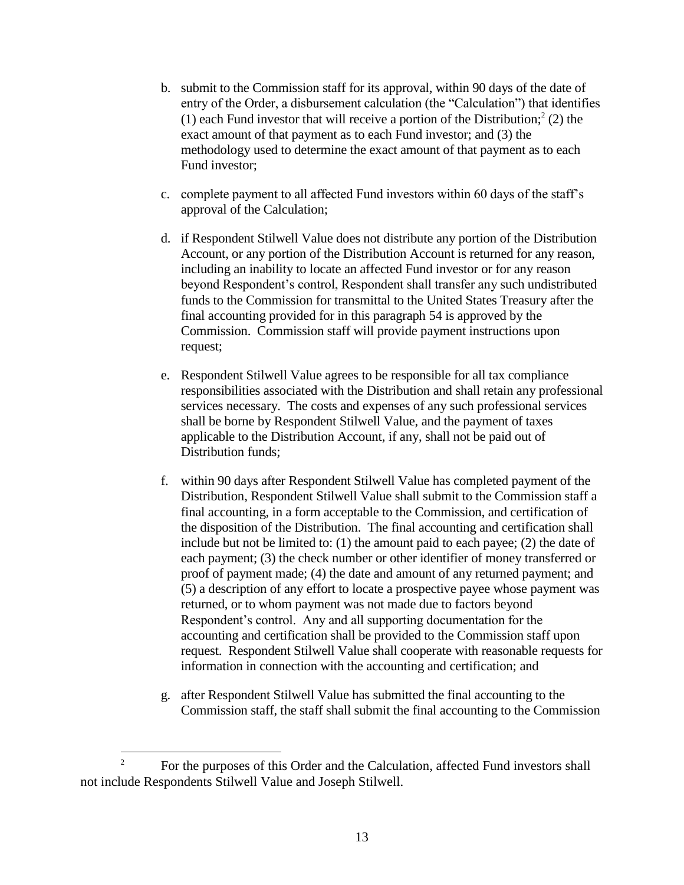- b. submit to the Commission staff for its approval, within 90 days of the date of entry of the Order, a disbursement calculation (the "Calculation") that identifies (1) each Fund investor that will receive a portion of the Distribution;<sup>2</sup> (2) the exact amount of that payment as to each Fund investor; and (3) the methodology used to determine the exact amount of that payment as to each Fund investor;
- c. complete payment to all affected Fund investors within 60 days of the staff's approval of the Calculation;
- d. if Respondent Stilwell Value does not distribute any portion of the Distribution Account, or any portion of the Distribution Account is returned for any reason, including an inability to locate an affected Fund investor or for any reason beyond Respondent's control, Respondent shall transfer any such undistributed funds to the Commission for transmittal to the United States Treasury after the final accounting provided for in this paragraph 54 is approved by the Commission. Commission staff will provide payment instructions upon request;
- e. Respondent Stilwell Value agrees to be responsible for all tax compliance responsibilities associated with the Distribution and shall retain any professional services necessary. The costs and expenses of any such professional services shall be borne by Respondent Stilwell Value, and the payment of taxes applicable to the Distribution Account, if any, shall not be paid out of Distribution funds;
- f. within 90 days after Respondent Stilwell Value has completed payment of the Distribution, Respondent Stilwell Value shall submit to the Commission staff a final accounting, in a form acceptable to the Commission, and certification of the disposition of the Distribution. The final accounting and certification shall include but not be limited to: (1) the amount paid to each payee; (2) the date of each payment; (3) the check number or other identifier of money transferred or proof of payment made; (4) the date and amount of any returned payment; and (5) a description of any effort to locate a prospective payee whose payment was returned, or to whom payment was not made due to factors beyond Respondent's control. Any and all supporting documentation for the accounting and certification shall be provided to the Commission staff upon request. Respondent Stilwell Value shall cooperate with reasonable requests for information in connection with the accounting and certification; and
- g. after Respondent Stilwell Value has submitted the final accounting to the Commission staff, the staff shall submit the final accounting to the Commission

 $\frac{1}{2}$ For the purposes of this Order and the Calculation, affected Fund investors shall not include Respondents Stilwell Value and Joseph Stilwell.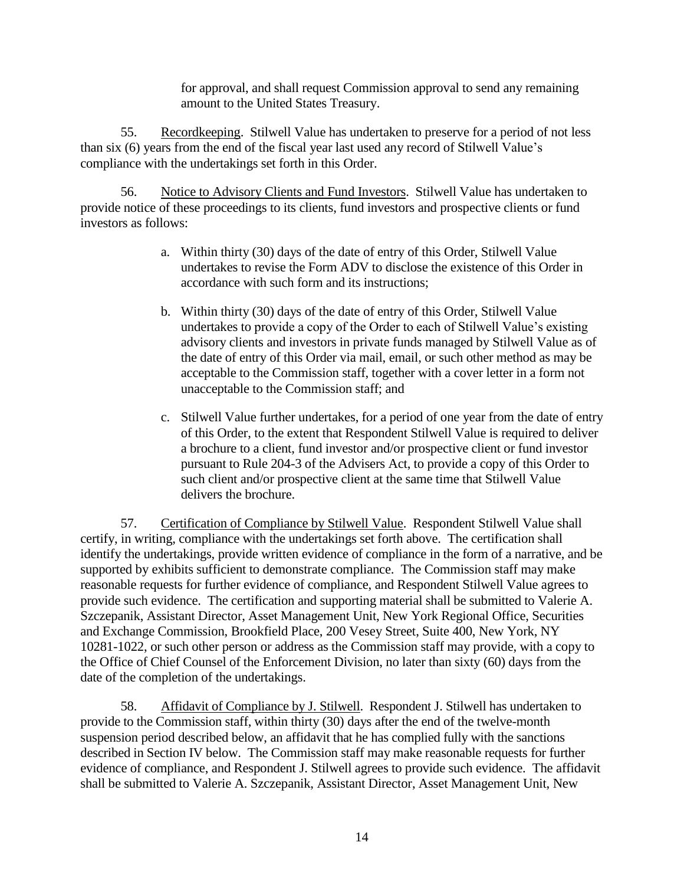for approval, and shall request Commission approval to send any remaining amount to the United States Treasury.

55. Recordkeeping. Stilwell Value has undertaken to preserve for a period of not less than six (6) years from the end of the fiscal year last used any record of Stilwell Value's compliance with the undertakings set forth in this Order.

56. Notice to Advisory Clients and Fund Investors. Stilwell Value has undertaken to provide notice of these proceedings to its clients, fund investors and prospective clients or fund investors as follows:

- a. Within thirty (30) days of the date of entry of this Order, Stilwell Value undertakes to revise the Form ADV to disclose the existence of this Order in accordance with such form and its instructions;
- b. Within thirty (30) days of the date of entry of this Order, Stilwell Value undertakes to provide a copy of the Order to each of Stilwell Value's existing advisory clients and investors in private funds managed by Stilwell Value as of the date of entry of this Order via mail, email, or such other method as may be acceptable to the Commission staff, together with a cover letter in a form not unacceptable to the Commission staff; and
- c. Stilwell Value further undertakes, for a period of one year from the date of entry of this Order, to the extent that Respondent Stilwell Value is required to deliver a brochure to a client, fund investor and/or prospective client or fund investor pursuant to Rule 204-3 of the Advisers Act, to provide a copy of this Order to such client and/or prospective client at the same time that Stilwell Value delivers the brochure.

57. Certification of Compliance by Stilwell Value. Respondent Stilwell Value shall certify, in writing, compliance with the undertakings set forth above. The certification shall identify the undertakings, provide written evidence of compliance in the form of a narrative, and be supported by exhibits sufficient to demonstrate compliance. The Commission staff may make reasonable requests for further evidence of compliance, and Respondent Stilwell Value agrees to provide such evidence. The certification and supporting material shall be submitted to Valerie A. Szczepanik, Assistant Director, Asset Management Unit, New York Regional Office, Securities and Exchange Commission, Brookfield Place, 200 Vesey Street, Suite 400, New York, NY 10281-1022, or such other person or address as the Commission staff may provide, with a copy to the Office of Chief Counsel of the Enforcement Division, no later than sixty (60) days from the date of the completion of the undertakings.

58. Affidavit of Compliance by J. Stilwell. Respondent J. Stilwell has undertaken to provide to the Commission staff, within thirty (30) days after the end of the twelve-month suspension period described below, an affidavit that he has complied fully with the sanctions described in Section IV below. The Commission staff may make reasonable requests for further evidence of compliance, and Respondent J. Stilwell agrees to provide such evidence. The affidavit shall be submitted to Valerie A. Szczepanik, Assistant Director, Asset Management Unit, New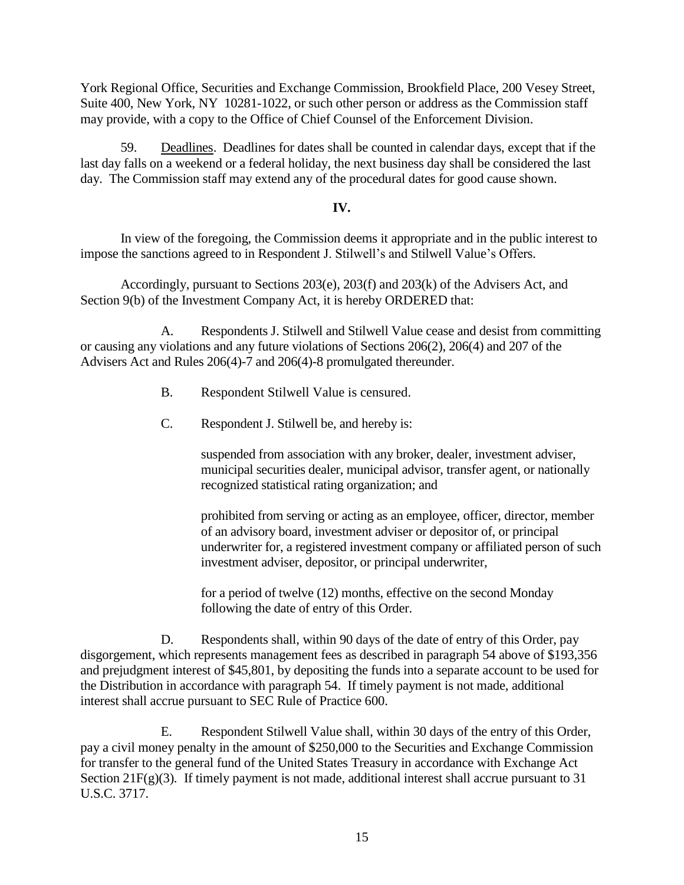York Regional Office, Securities and Exchange Commission, Brookfield Place, 200 Vesey Street, Suite 400, New York, NY 10281-1022, or such other person or address as the Commission staff may provide, with a copy to the Office of Chief Counsel of the Enforcement Division.

59. Deadlines. Deadlines for dates shall be counted in calendar days, except that if the last day falls on a weekend or a federal holiday, the next business day shall be considered the last day. The Commission staff may extend any of the procedural dates for good cause shown.

# **IV.**

In view of the foregoing, the Commission deems it appropriate and in the public interest to impose the sanctions agreed to in Respondent J. Stilwell's and Stilwell Value's Offers.

Accordingly, pursuant to Sections 203(e), 203(f) and 203(k) of the Advisers Act, and Section 9(b) of the Investment Company Act, it is hereby ORDERED that:

A. Respondents J. Stilwell and Stilwell Value cease and desist from committing or causing any violations and any future violations of Sections 206(2), 206(4) and 207 of the Advisers Act and Rules 206(4)-7 and 206(4)-8 promulgated thereunder.

- B. Respondent Stilwell Value is censured.
- C. Respondent J. Stilwell be, and hereby is:

suspended from association with any broker, dealer, investment adviser, municipal securities dealer, municipal advisor, transfer agent, or nationally recognized statistical rating organization; and

prohibited from serving or acting as an employee, officer, director, member of an advisory board, investment adviser or depositor of, or principal underwriter for, a registered investment company or affiliated person of such investment adviser, depositor, or principal underwriter,

for a period of twelve (12) months, effective on the second Monday following the date of entry of this Order.

D. Respondents shall, within 90 days of the date of entry of this Order, pay disgorgement, which represents management fees as described in paragraph 54 above of \$193,356 and prejudgment interest of \$45,801, by depositing the funds into a separate account to be used for the Distribution in accordance with paragraph 54. If timely payment is not made, additional interest shall accrue pursuant to SEC Rule of Practice 600.

E. Respondent Stilwell Value shall, within 30 days of the entry of this Order, pay a civil money penalty in the amount of \$250,000 to the Securities and Exchange Commission for transfer to the general fund of the United States Treasury in accordance with Exchange Act Section 21F(g)(3). If timely payment is not made, additional interest shall accrue pursuant to 31 U.S.C. 3717.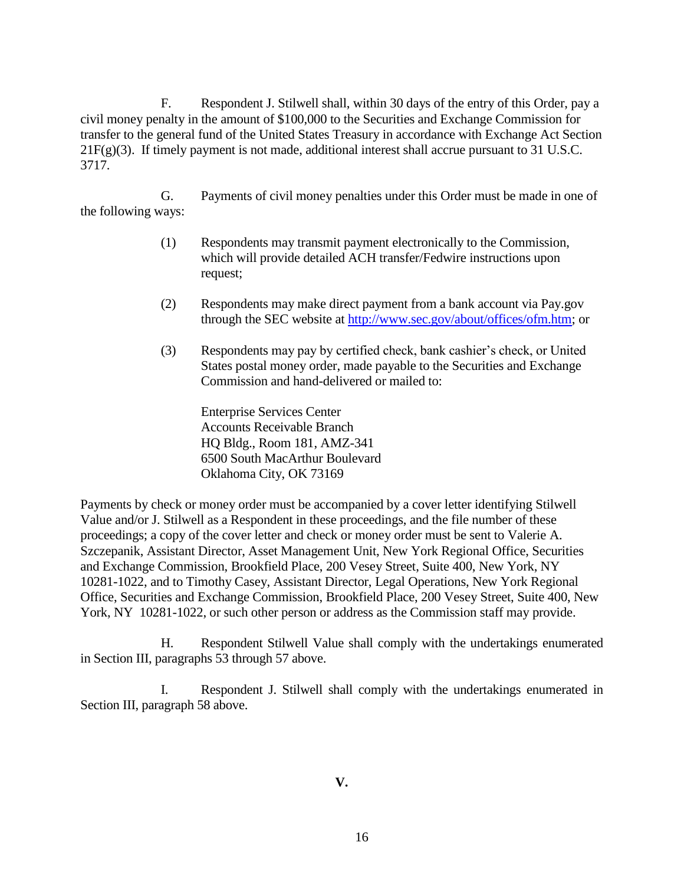F. Respondent J. Stilwell shall, within 30 days of the entry of this Order, pay a civil money penalty in the amount of \$100,000 to the Securities and Exchange Commission for transfer to the general fund of the United States Treasury in accordance with Exchange Act Section  $21F(g)(3)$ . If timely payment is not made, additional interest shall accrue pursuant to 31 U.S.C. 3717.

G. Payments of civil money penalties under this Order must be made in one of the following ways:

- (1) Respondents may transmit payment electronically to the Commission, which will provide detailed ACH transfer/Fedwire instructions upon request;
- (2) Respondents may make direct payment from a bank account via Pay.gov through the SEC website at http://www.sec.gov/about/offices/ofm.htm; or
- (3) Respondents may pay by certified check, bank cashier's check, or United States postal money order, made payable to the Securities and Exchange Commission and hand-delivered or mailed to:

Enterprise Services Center Accounts Receivable Branch HQ Bldg., Room 181, AMZ-341 6500 South MacArthur Boulevard Oklahoma City, OK 73169

Payments by check or money order must be accompanied by a cover letter identifying Stilwell Value and/or J. Stilwell as a Respondent in these proceedings, and the file number of these proceedings; a copy of the cover letter and check or money order must be sent to Valerie A. Szczepanik, Assistant Director, Asset Management Unit, New York Regional Office, Securities and Exchange Commission, Brookfield Place, 200 Vesey Street, Suite 400, New York, NY 10281-1022, and to Timothy Casey, Assistant Director, Legal Operations, New York Regional Office, Securities and Exchange Commission, Brookfield Place, 200 Vesey Street, Suite 400, New York, NY 10281-1022, or such other person or address as the Commission staff may provide.

H. Respondent Stilwell Value shall comply with the undertakings enumerated in Section III, paragraphs 53 through 57 above.

I. Respondent J. Stilwell shall comply with the undertakings enumerated in Section III, paragraph 58 above.

**V.**